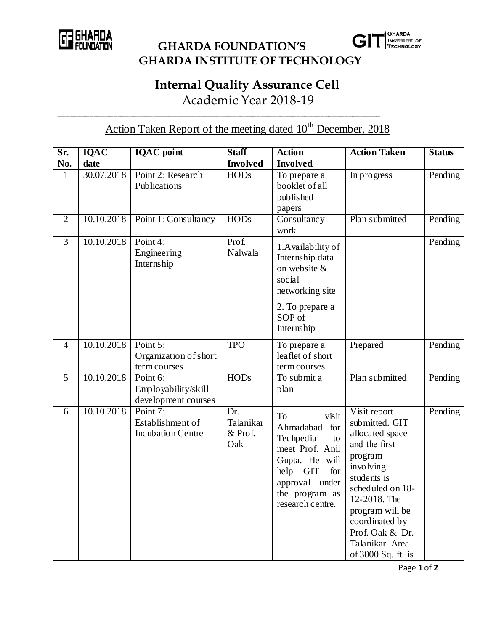

 **GHARDA FOUNDATION'S GHARDA INSTITUTE OF TECHNOLOGY**

## **Internal Quality Assurance Cell**

Academic Year 2018-19

\_\_\_\_\_\_\_\_\_\_\_\_\_\_\_\_\_\_\_\_\_\_\_\_\_\_\_\_\_\_\_\_\_\_\_\_\_\_\_\_\_\_\_\_\_\_\_\_\_\_\_\_\_\_\_\_\_\_\_\_\_\_\_\_\_\_\_\_\_\_\_\_\_\_\_\_\_\_\_\_\_

Action Taken Report of the meeting dated  $10^{th}$  December, 2018

| Sr.            | <b>IQAC</b> | <b>IQAC</b> point                                        | <b>Staff</b>                       | <b>Action</b>                                                                                                                                                   | <b>Action Taken</b>                                                                                                                                                                                                                            | <b>Status</b> |
|----------------|-------------|----------------------------------------------------------|------------------------------------|-----------------------------------------------------------------------------------------------------------------------------------------------------------------|------------------------------------------------------------------------------------------------------------------------------------------------------------------------------------------------------------------------------------------------|---------------|
| No.            | date        |                                                          | <b>Involved</b>                    | <b>Involved</b>                                                                                                                                                 |                                                                                                                                                                                                                                                |               |
| 1              | 30.07.2018  | Point 2: Research<br>Publications                        | <b>HODs</b>                        | To prepare a<br>booklet of all<br>published<br>papers                                                                                                           | In progress                                                                                                                                                                                                                                    | Pending       |
| $\overline{2}$ | 10.10.2018  | Point 1: Consultancy                                     | <b>HODs</b>                        | Consultancy<br>work                                                                                                                                             | Plan submitted                                                                                                                                                                                                                                 | Pending       |
| 3              | 10.10.2018  | Point 4:<br>Engineering<br>Internship                    | Prof.<br>Nalwala                   | 1. Availability of<br>Internship data<br>on website &<br>social<br>networking site                                                                              |                                                                                                                                                                                                                                                | Pending       |
|                |             |                                                          |                                    | 2. To prepare a<br>SOP of<br>Internship                                                                                                                         |                                                                                                                                                                                                                                                |               |
| $\overline{4}$ | 10.10.2018  | Point 5:<br>Organization of short<br>term courses        | <b>TPO</b>                         | To prepare a<br>leaflet of short<br>term courses                                                                                                                | Prepared                                                                                                                                                                                                                                       | Pending       |
| $\overline{5}$ | 10.10.2018  | Point 6:<br>Employability/skill<br>development courses   | <b>HODs</b>                        | To submit a<br>plan                                                                                                                                             | Plan submitted                                                                                                                                                                                                                                 | Pending       |
| 6              | 10.10.2018  | Point 7:<br>Establishment of<br><b>Incubation Centre</b> | Dr.<br>Talanikar<br>& Prof.<br>Oak | To<br>visit<br>Ahmadabad for<br>Techpedia<br>to<br>meet Prof. Anil<br>Gupta. He will<br>help GIT<br>for<br>approval under<br>the program as<br>research centre. | Visit report<br>submitted. GIT<br>allocated space<br>and the first<br>program<br>involving<br>students is<br>scheduled on 18-<br>12-2018. The<br>program will be<br>coordinated by<br>Prof. Oak & Dr.<br>Talanikar. Area<br>of 3000 Sq. ft. is | Pending       |

Page **1** of **2**

**GHARDA**<br>INSTITUTE OF<br>TECHNOLOGY